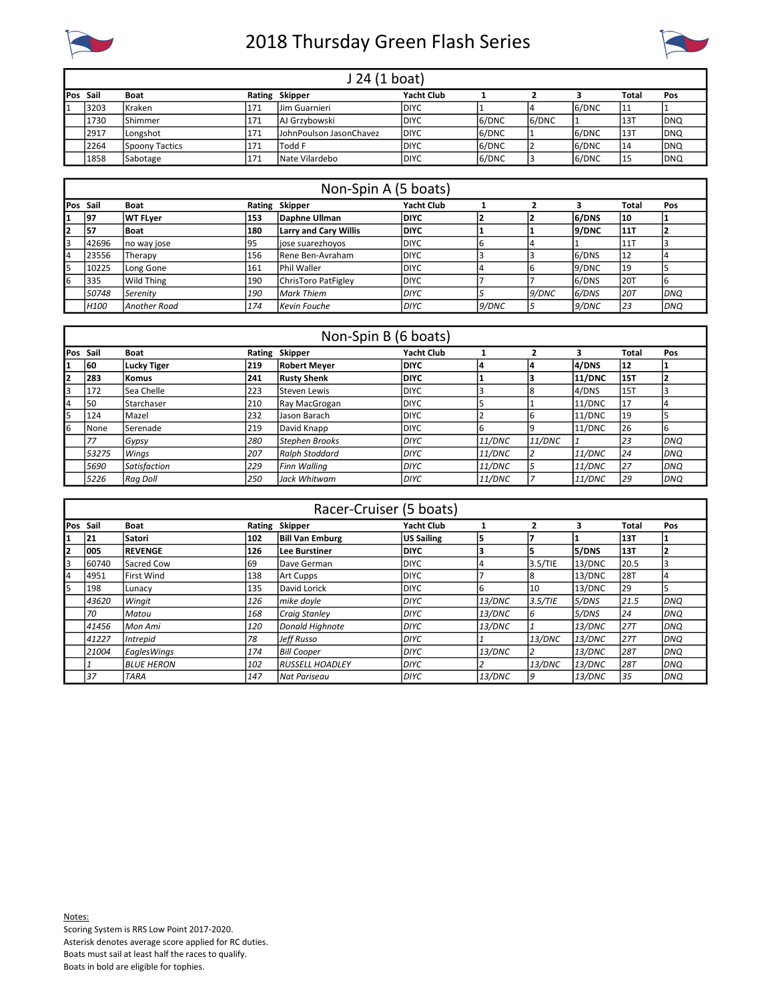

## 2018 Thursday Green Flash Series



| J 24 (1 boat) |                 |      |                         |              |       |       |       |              |             |  |
|---------------|-----------------|------|-------------------------|--------------|-------|-------|-------|--------------|-------------|--|
| Pos Sail      | Boat            |      | Rating Skipper          | Yacht Club   |       |       |       | <b>Total</b> | Pos         |  |
| 3203          | l Kraken        | 171  | IJim Guarnieri          | <b>IDIYC</b> |       |       | 6/DNC | 11           |             |  |
| 1730          | <b>IShimmer</b> | 1171 | AJ Grzybowski           | <b>IDIYC</b> | 6/DNC | 6/DNC |       | 13T          | <b>IDNQ</b> |  |
| 2917          | Longshot        | 171  | JohnPoulson JasonChavez | <b>IDIYC</b> | 6/DNC |       | 6/DNC | 13T          | <b>IDNQ</b> |  |
| 2264          | Spoony Tactics  | 1171 | lTodd F                 | <b>IDIYC</b> | 6/DNC |       | 6/DNC | 14           | <b>DNQ</b>  |  |
| 1858          | <b>Sabotage</b> | 1171 | Nate Vilardebo          | <b>IDIYC</b> | 6/DNC |       | 6/DNC | 15           | <b>IDNQ</b> |  |

|          | Non-Spin A (5 boats) |                 |     |                              |                   |        |       |       |              |             |  |  |  |
|----------|----------------------|-----------------|-----|------------------------------|-------------------|--------|-------|-------|--------------|-------------|--|--|--|
| Pos Sail |                      | Boat            |     | Rating Skipper               | <b>Yacht Club</b> |        |       |       | <b>Total</b> | Pos         |  |  |  |
| 1        | 197                  | WT FLyer        | 153 | Daphne Ullman                | <b>IDIYC</b>      |        |       | 6/DNS | 10           |             |  |  |  |
| 12       | 57                   | Boat            | 180 | <b>Larry and Cary Willis</b> | <b>IDIYC</b>      |        |       | 9/DNC | 111T         |             |  |  |  |
| 3        | 42696                | Ino way jose    | 195 | liose suarezhovos            | <b>IDIYC</b>      |        |       |       | 11T          |             |  |  |  |
| 14       | 23556                | <b>ITherapy</b> | 156 | <b>IRene Ben-Avraham</b>     | <b>IDIYC</b>      |        |       | 6/DNS | 12           |             |  |  |  |
| 5        | 10225                | Long Gone       | 161 | <b>IPhil Waller</b>          | <b>IDIYC</b>      |        |       | 9/DNC | 19           |             |  |  |  |
| l6       | 335                  | Wild Thing      | 190 | ChrisToro PatFigley          | <b>IDIYC</b>      |        |       | 6/DNS | 120T         | IЬ          |  |  |  |
|          | 50748                | Serenity        | 190 | <b>Mark Thiem</b>            | IDIYC             |        | 9/DNC | 6/DNS | 20T          | <b>IDNO</b> |  |  |  |
|          | H <sub>100</sub>     | lAnother Road   | 174 | Kevin Fouche                 | IDIYC             | l9/DNC |       | 9/DNC | 23           | IDNO        |  |  |  |

|    | Non-Spin B (6 boats) |                    |     |                     |                   |        |        |               |              |            |  |  |
|----|----------------------|--------------------|-----|---------------------|-------------------|--------|--------|---------------|--------------|------------|--|--|
|    | Pos Sail             | <b>Boat</b>        |     | Rating Skipper      | <b>Yacht Club</b> |        |        | 3             | <b>Total</b> | Pos        |  |  |
|    | 60                   | Lucky Tiger        | 219 | <b>Robert Meyer</b> | <b>DIYC</b>       |        |        | 4/DNS         | 12           |            |  |  |
| 12 | 283                  | Komus              | 241 | <b>Rusty Shenk</b>  | <b>IDIYC</b>      |        |        | <b>11/DNC</b> | 15T          |            |  |  |
| l3 | 172                  | lSea Chelle        | 223 | lSteven Lewis       | IDIYC.            |        |        | 4/DNS         | 15T          |            |  |  |
| 14 | 50                   | <b>IStarchaser</b> | 210 | Ray MacGrogan       | <b>DIYC</b>       |        |        | 11/DNC        | 17           |            |  |  |
| l5 | 124                  | Mazel              | 232 | Jason Barach        | <b>IDIYC</b>      |        |        | 11/DDC        | 19           |            |  |  |
| l6 | None                 | Serenade           | 219 | David Knapp         | <b>IDIYC</b>      |        |        | 11/DDC        | 126          | lb         |  |  |
|    | 77                   | Gypsy              | 280 | Stephen Brooks      | <b>DIYC</b>       | 11/DNC | 11/DNC |               | 23           | <b>DNO</b> |  |  |
|    | 53275                | Winas              | 207 | Ralph Stoddard      | <b>DIYC</b>       | 11/DNC |        | 11/DNC        | 24           | <b>DNO</b> |  |  |
|    | 5690                 | Satisfaction       | 229 | lFinn Wallina       | IDIYC             | 11/DNC |        | 11/DNC        | 27           | <b>DNO</b> |  |  |
|    | 5226                 | l Raa Doll         | 250 | lJack Whitwam       | <b>DIYC</b>       | 11/DNC |        | 11/DNC        | 29           | IDNO       |  |  |

|                 | Racer-Cruiser (5 boats) |                     |     |                                |                   |        |         |               |            |            |  |
|-----------------|-------------------------|---------------------|-----|--------------------------------|-------------------|--------|---------|---------------|------------|------------|--|
| <b>Pos Sail</b> |                         | <b>Boat</b>         |     | Rating Skipper                 | <b>Yacht Club</b> |        |         | з             | Total      | Pos        |  |
| 1               | 21                      | <b>Satori</b>       | 102 | <b>Bill Van Emburg</b>         | US Sailing        | 5      |         |               | 13T        |            |  |
| 12              | 1005                    | <b>REVENGE</b>      | 126 | lLee Burstiner                 | <b>IDIYC</b>      | 3      |         | 5/DNS         | 13T        |            |  |
| l3              | 60740                   | lSacred Cow         | 69  | lDave German                   | DIYC              |        | 3.5/TIE | 13/DNC        | 20.5       |            |  |
| 14              | 4951                    | lFirst Wind         | 138 | Art Cupps                      | IDIYC.            |        | 18      | 13/DNC        | <b>28T</b> | 14         |  |
| l5              | 198                     | Lunacy              | 135 | David Lorick                   | <b>DIYC</b>       | l6     | 10      | 13/DNC        | 29         |            |  |
|                 | 43620                   | Wingit              | 126 | mike doyle                     | IDIYC             | 13/DNC | 3.5/TIE | 5/DNS         | 21.5       | DNQ        |  |
|                 | 70                      | Matou               | 168 | Craia Stanley                  | DIYC              | 13/DNC | 16      | 5/DNS         | 24         | DNQ        |  |
|                 | 41456                   | lMon Ami            | 120 | Donald Highnote                | IDIYC             | 13/DNC |         | 13/DNC        | 27T        | DNQ        |  |
|                 | 41227                   | Intrepid            | 78  | Jeff Russo                     | IDIYC             |        | 13/DNC  | <i>13/DNC</i> | 27T        | DNQ        |  |
|                 | 21004                   | EaglesWings         | 174 | <b>Bill Cooper</b>             | IDIYC             | 13/DNC |         | 13/DNC        | <b>28T</b> | <b>DNO</b> |  |
|                 |                         | I <i>BLUE HERON</i> | 102 | <i><b>IRUSSELL HOADLEY</b></i> | IDIYC             |        | 13/DNC  | 13/DNC        | <b>28T</b> | DNQ        |  |
|                 | 37                      | ITARA               | 147 | l Nat Pariseau                 | DIYC              | 13/DNC | 19      | 13/DNC        | 35         | DNQ        |  |

Notes: Scoring System is RRS Low Point 2017-2020. Asterisk denotes average score applied for RC duties. Boats must sail at least half the races to qualify. Boats in bold are eligible for tophies.